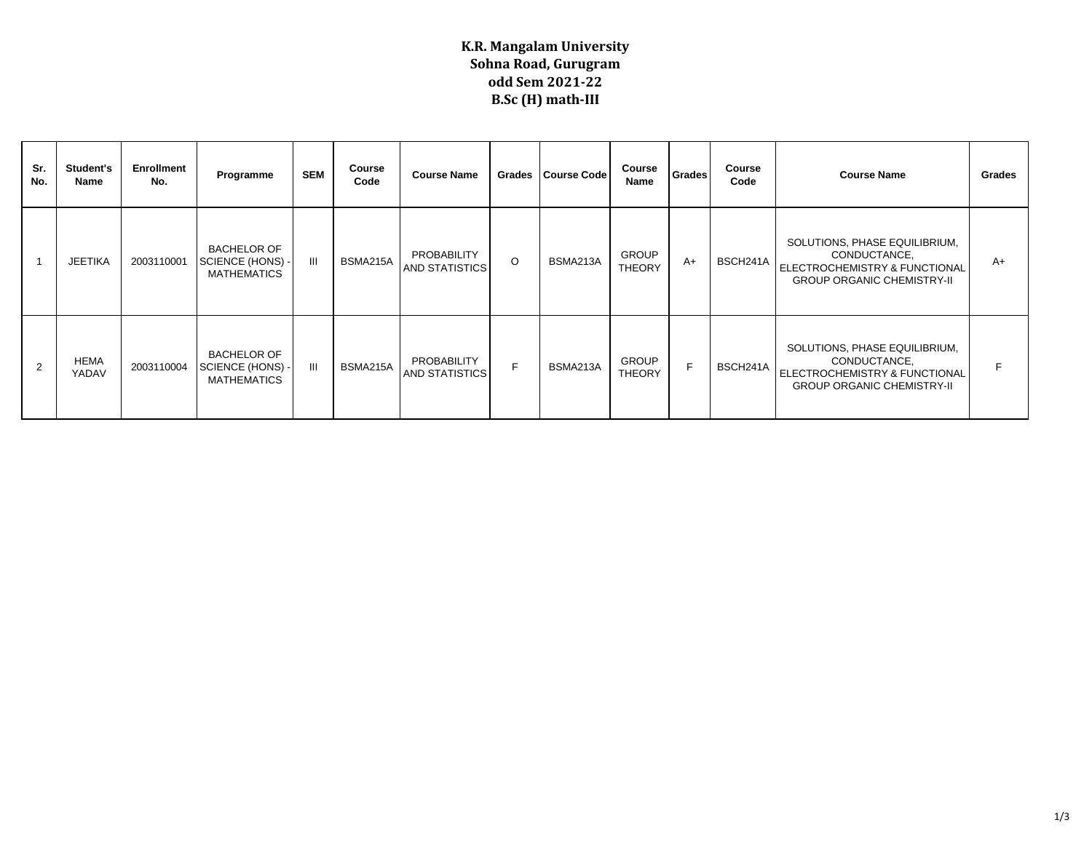## **K.R. Mangalam University Sohna Road, Gurugram odd Sem 2021-22 B.Sc (H) math-III**

| Sr.<br>No. | Student's<br>Name    | Enrollment<br>No. | Programme                                                  | <b>SEM</b> | Course<br>Code | <b>Course Name</b>                   | Grades  | <b>Course Code</b> | Course<br>Name                | <b>Grades</b> | Course<br>Code | <b>Course Name</b>                                                                                                  | Grades |
|------------|----------------------|-------------------|------------------------------------------------------------|------------|----------------|--------------------------------------|---------|--------------------|-------------------------------|---------------|----------------|---------------------------------------------------------------------------------------------------------------------|--------|
|            | <b>JEETIKA</b>       | 2003110001        | <b>BACHELOR OF</b><br>SCIENCE (HONS)<br><b>MATHEMATICS</b> | III        | BSMA215A       | PROBABILITY<br><b>AND STATISTICS</b> | $\circ$ | BSMA213A           | <b>GROUP</b><br><b>THEORY</b> | $A+$          | BSCH241A       | SOLUTIONS, PHASE EQUILIBRIUM,<br>CONDUCTANCE,<br>ELECTROCHEMISTRY & FUNCTIONAL<br><b>GROUP ORGANIC CHEMISTRY-II</b> | $A+$   |
|            | <b>HEMA</b><br>YADAV | 2003110004        | <b>BACHELOR OF</b><br>SCIENCE (HONS)<br><b>MATHEMATICS</b> | Ш          | BSMA215A       | PROBABILITY<br><b>AND STATISTICS</b> | F       | BSMA213A           | <b>GROUP</b><br><b>THEORY</b> | E             | BSCH241A       | SOLUTIONS, PHASE EQUILIBRIUM,<br>CONDUCTANCE,<br>ELECTROCHEMISTRY & FUNCTIONAL<br><b>GROUP ORGANIC CHEMISTRY-II</b> | F      |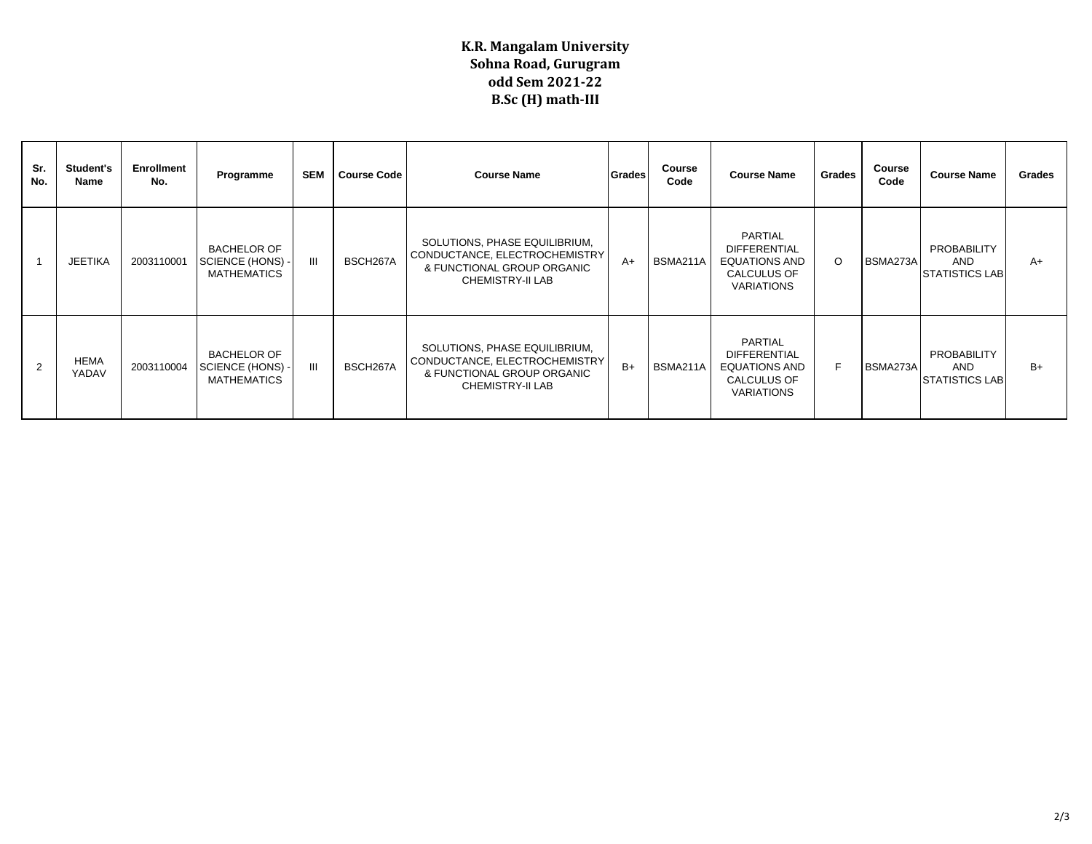## **K.R. Mangalam University Sohna Road, Gurugram odd Sem 2021-22 B.Sc (H) math-III**

| Sr.<br>No.     | <b>Student's</b><br>Name | Enrollment<br>No. | Programme                                                    | <b>SEM</b> | <b>Course Code</b> | <b>Course Name</b>                                                                                                      | Grades | Course<br>Code | <b>Course Name</b>                                                                                | Grades  | Course<br>Code | <b>Course Name</b>                                 | <b>Grades</b> |
|----------------|--------------------------|-------------------|--------------------------------------------------------------|------------|--------------------|-------------------------------------------------------------------------------------------------------------------------|--------|----------------|---------------------------------------------------------------------------------------------------|---------|----------------|----------------------------------------------------|---------------|
|                | <b>JEETIKA</b>           | 2003110001        | <b>BACHELOR OF</b><br>SCIENCE (HONS) -<br>MATHEMATICS        | Ш          | BSCH267A           | SOLUTIONS, PHASE EQUILIBRIUM,<br>CONDUCTANCE, ELECTROCHEMISTRY<br>& FUNCTIONAL GROUP ORGANIC<br><b>CHEMISTRY-II LAB</b> | $A+$   | BSMA211A       | PARTIAL<br><b>DIFFERENTIAL</b><br><b>EQUATIONS AND</b><br><b>CALCULUS OF</b><br>VARIATIONS        | $\circ$ | BSMA273A       | PROBABILITY<br><b>AND</b><br><b>STATISTICS LAB</b> | $A+$          |
| $\overline{2}$ | <b>HEMA</b><br>YADAV     | 2003110004        | <b>BACHELOR OF</b><br>SCIENCE (HONS) -<br><b>MATHEMATICS</b> | Ш          | BSCH267A           | SOLUTIONS, PHASE EQUILIBRIUM,<br>CONDUCTANCE, ELECTROCHEMISTRY<br>& FUNCTIONAL GROUP ORGANIC<br><b>CHEMISTRY-II LAB</b> | $B+$   | BSMA211A       | PARTIAL<br><b>DIFFERENTIAL</b><br><b>EQUATIONS AND</b><br><b>CALCULUS OF</b><br><b>VARIATIONS</b> | F       | BSMA273A       | PROBABILITY<br><b>AND</b><br>ISTATISTICS LABI      | $B+$          |